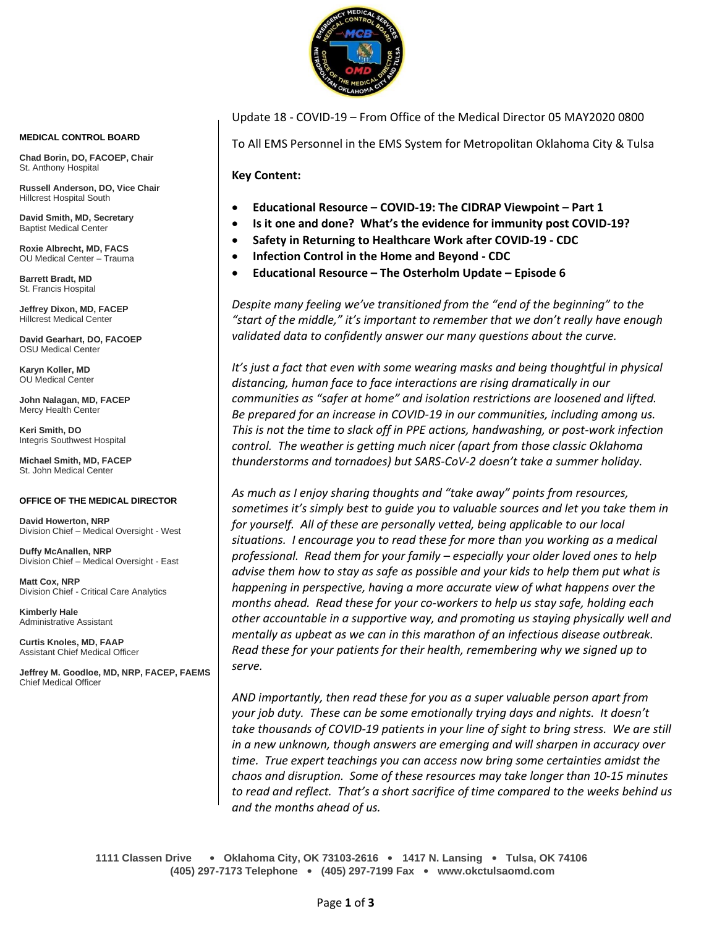

**MEDICAL CONTROL BOARD**

**Chad Borin, DO, FACOEP, Chair**  St. Anthony Hospital

**Russell Anderson, DO, Vice Chair** Hillcrest Hospital South

**David Smith, MD, Secretary** Baptist Medical Center

**Roxie Albrecht, MD, FACS** OU Medical Center – Trauma

**Barrett Bradt, MD** St. Francis Hospital

**Jeffrey Dixon, MD, FACEP** Hillcrest Medical Center

**David Gearhart, DO, FACOEP** OSU Medical Center

**Karyn Koller, MD** OU Medical Center

**John Nalagan, MD, FACEP** Mercy Health Center

**Keri Smith, DO** Integris Southwest Hospital

**Michael Smith, MD, FACEP** St. John Medical Center

#### **OFFICE OF THE MEDICAL DIRECTOR**

**David Howerton, NRP** Division Chief – Medical Oversight - West

**Duffy McAnallen, NRP** Division Chief – Medical Oversight - East

**Matt Cox, NRP** Division Chief - Critical Care Analytics

**Kimberly Hale** Administrative Assistant

**Curtis Knoles, MD, FAAP** Assistant Chief Medical Officer

**Jeffrey M. Goodloe, MD, NRP, FACEP, FAEMS** Chief Medical Officer

Update 18 - COVID-19 – From Office of the Medical Director 05 MAY2020 0800

To All EMS Personnel in the EMS System for Metropolitan Oklahoma City & Tulsa

**Key Content:**

- **Educational Resource – COVID-19: The CIDRAP Viewpoint – Part 1**
- **Is it one and done? What's the evidence for immunity post COVID-19?**
- **Safety in Returning to Healthcare Work after COVID-19 - CDC**
- **Infection Control in the Home and Beyond - CDC**
- **Educational Resource – The Osterholm Update – Episode 6**

*Despite many feeling we've transitioned from the "end of the beginning" to the "start of the middle," it's important to remember that we don't really have enough validated data to confidently answer our many questions about the curve.*

It's just a fact that even with some wearing masks and being thoughtful in physical *distancing, human face to face interactions are rising dramatically in our communities as "safer at home" and isolation restrictions are loosened and lifted. Be prepared for an increase in COVID-19 in our communities, including among us. This is not the time to slack off in PPE actions, handwashing, or post-work infection control. The weather is getting much nicer (apart from those classic Oklahoma thunderstorms and tornadoes) but SARS-CoV-2 doesn't take a summer holiday.*

*As much as I enjoy sharing thoughts and "take away" points from resources, sometimes it's simply best to guide you to valuable sources and let you take them in*  for yourself. All of these are personally vetted, being applicable to our local *situations. I encourage you to read these for more than you working as a medical professional. Read them for your family – especially your older loved ones to help advise them how to stay as safe as possible and your kids to help them put what is happening in perspective, having a more accurate view of what happens over the months ahead. Read these for your co-workers to help us stay safe, holding each other accountable in a supportive way, and promoting us staying physically well and mentally as upbeat as we can in this marathon of an infectious disease outbreak. Read these for your patients for their health, remembering why we signed up to serve.* 

*AND importantly, then read these for you as a super valuable person apart from your job duty. These can be some emotionally trying days and nights. It doesn't take thousands of COVID-19 patients in your line of sight to bring stress. We are still in a new unknown, though answers are emerging and will sharpen in accuracy over time. True expert teachings you can access now bring some certainties amidst the chaos and disruption. Some of these resources may take longer than 10-15 minutes to read and reflect. That's a short sacrifice of time compared to the weeks behind us and the months ahead of us.* 

**1111 Classen Drive** • **Oklahoma City, OK 73103-2616** • **1417 N. Lansing** • **Tulsa, OK 74106 (405) 297-7173 Telephone** • **(405) 297-7199 Fax** • **www.okctulsaomd.com**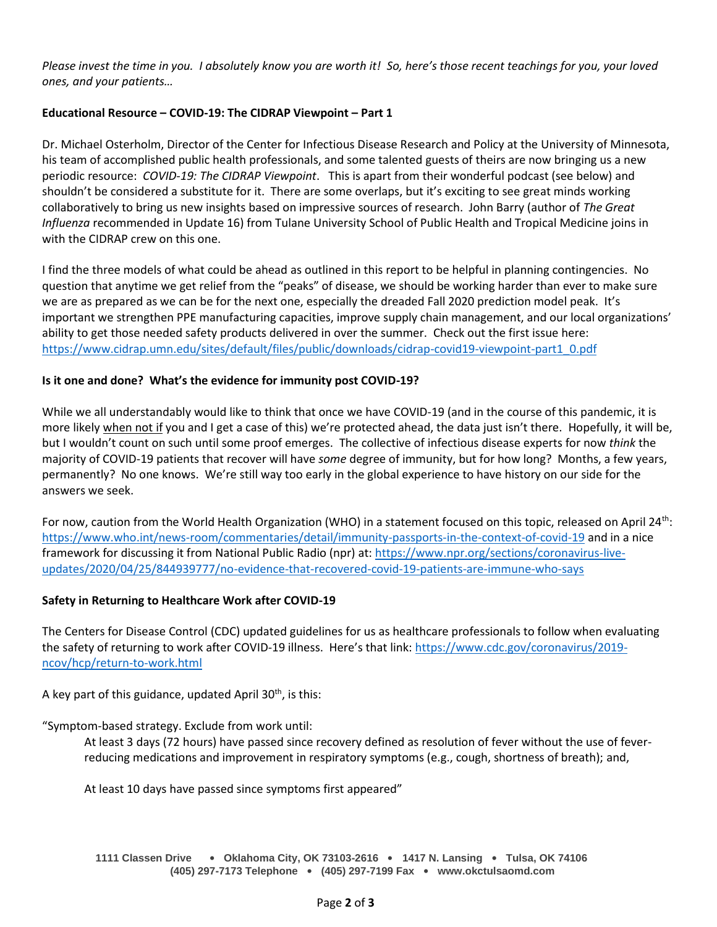*Please invest the time in you. I absolutely know you are worth it! So, here's those recent teachings for you, your loved ones, and your patients…*

# **Educational Resource – COVID-19: The CIDRAP Viewpoint – Part 1**

Dr. Michael Osterholm, Director of the Center for Infectious Disease Research and Policy at the University of Minnesota, his team of accomplished public health professionals, and some talented guests of theirs are now bringing us a new periodic resource: *COVID-19: The CIDRAP Viewpoint*. This is apart from their wonderful podcast (see below) and shouldn't be considered a substitute for it. There are some overlaps, but it's exciting to see great minds working collaboratively to bring us new insights based on impressive sources of research. John Barry (author of *The Great Influenza* recommended in Update 16) from Tulane University School of Public Health and Tropical Medicine joins in with the CIDRAP crew on this one.

I find the three models of what could be ahead as outlined in this report to be helpful in planning contingencies. No question that anytime we get relief from the "peaks" of disease, we should be working harder than ever to make sure we are as prepared as we can be for the next one, especially the dreaded Fall 2020 prediction model peak. It's important we strengthen PPE manufacturing capacities, improve supply chain management, and our local organizations' ability to get those needed safety products delivered in over the summer. Check out the first issue here: [https://www.cidrap.umn.edu/sites/default/files/public/downloads/cidrap-covid19-viewpoint-part1\\_0.pdf](https://www.cidrap.umn.edu/sites/default/files/public/downloads/cidrap-covid19-viewpoint-part1_0.pdf)

# **Is it one and done? What's the evidence for immunity post COVID-19?**

While we all understandably would like to think that once we have COVID-19 (and in the course of this pandemic, it is more likely when not if you and I get a case of this) we're protected ahead, the data just isn't there. Hopefully, it will be, but I wouldn't count on such until some proof emerges. The collective of infectious disease experts for now *think* the majority of COVID-19 patients that recover will have *some* degree of immunity, but for how long? Months, a few years, permanently? No one knows. We're still way too early in the global experience to have history on our side for the answers we seek.

For now, caution from the World Health Organization (WHO) in a statement focused on this topic, released on April 24<sup>th</sup>: <https://www.who.int/news-room/commentaries/detail/immunity-passports-in-the-context-of-covid-19> and in a nice framework for discussing it from National Public Radio (npr) at: [https://www.npr.org/sections/coronavirus-live](https://www.npr.org/sections/coronavirus-live-updates/2020/04/25/844939777/no-evidence-that-recovered-covid-19-patients-are-immune-who-says)[updates/2020/04/25/844939777/no-evidence-that-recovered-covid-19-patients-are-immune-who-says](https://www.npr.org/sections/coronavirus-live-updates/2020/04/25/844939777/no-evidence-that-recovered-covid-19-patients-are-immune-who-says)

### **Safety in Returning to Healthcare Work after COVID-19**

The Centers for Disease Control (CDC) updated guidelines for us as healthcare professionals to follow when evaluating the safety of returning to work after COVID-19 illness. Here's that link: [https://www.cdc.gov/coronavirus/2019](https://www.cdc.gov/coronavirus/2019-ncov/hcp/return-to-work.html) [ncov/hcp/return-to-work.html](https://www.cdc.gov/coronavirus/2019-ncov/hcp/return-to-work.html)

A key part of this guidance, updated April  $30<sup>th</sup>$ , is this:

"Symptom-based strategy. Exclude from work until:

At least 3 days (72 hours) have passed since recovery defined as resolution of fever without the use of feverreducing medications and improvement in respiratory symptoms (e.g., cough, shortness of breath); and,

At least 10 days have passed since symptoms first appeared"